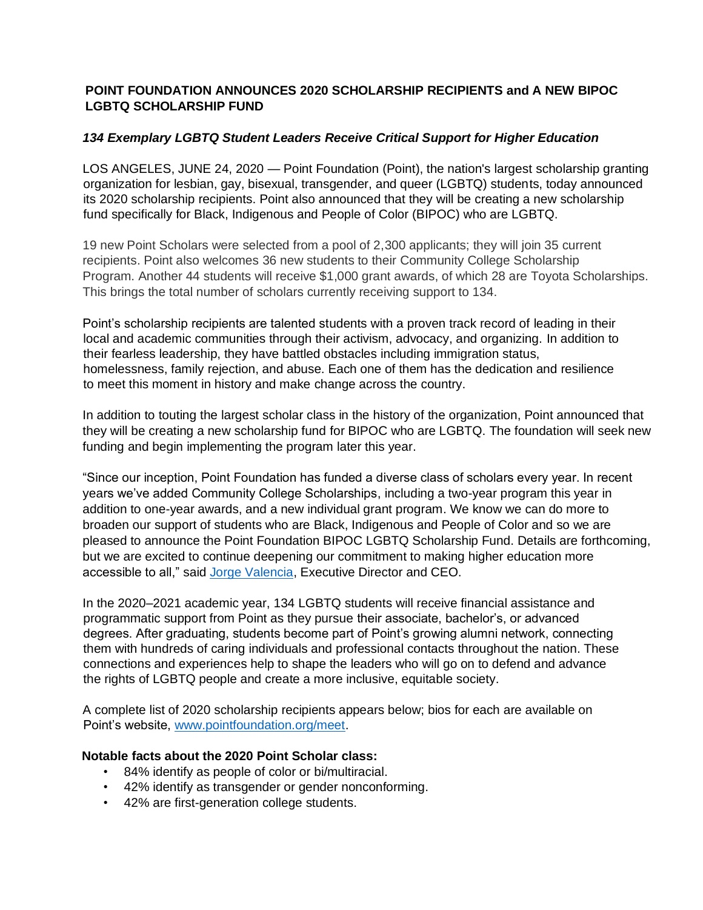## **POINT FOUNDATION ANNOUNCES 2020 SCHOLARSHIP RECIPIENTS and A NEW BIPOC LGBTQ SCHOLARSHIP FUND**

## *134 Exemplary LGBTQ Student Leaders Receive Critical Support for Higher Education*

LOS ANGELES, JUNE 24, 2020 — Point Foundation (Point), the nation's largest scholarship granting organization for lesbian, gay, bisexual, transgender, and queer (LGBTQ) students, today announced its 2020 scholarship recipients. Point also announced that they will be creating a new scholarship fund specifically for Black, Indigenous and People of Color (BIPOC) who are LGBTQ.

19 new Point Scholars were selected from a pool of 2,300 applicants; they will join 35 current recipients. Point also welcomes 36 new students to their Community College Scholarship Program. Another 44 students will receive \$1,000 grant awards, of which 28 are Toyota Scholarships. This brings the total number of scholars currently receiving support to 134.

Point's scholarship recipients are talented students with a proven track record of leading in their local and academic communities through their activism, advocacy, and organizing. In addition to their fearless leadership, they have battled obstacles including immigration status, homelessness, family rejection, and abuse. Each one of them has the dedication and resilience to meet this moment in history and make change across the country.

In addition to touting the largest scholar class in the history of the organization, Point announced that they will be creating a new scholarship fund for BIPOC who are LGBTQ. The foundation will seek new funding and begin implementing the program later this year.

"Since our inception, Point Foundation has funded a diverse class of scholars every year. In recent years we've added Community College Scholarships, including a two-year program this year in addition to one-year awards, and a new individual grant program. We know we can do more to broaden our support of students who are Black, Indigenous and People of Color and so we are pleased to announce the Point Foundation BIPOC LGBTQ Scholarship Fund. Details are forthcoming, but we are excited to continue deepening our commitment to making higher education more accessible to all," said [Jorge Valencia,](https://pointfoundation.org/thepoint/jorge-valencia/) Executive Director and CEO.

In the 2020–2021 academic year, 134 LGBTQ students will receive financial assistance and programmatic support from Point as they pursue their associate, bachelor's, or advanced degrees. After graduating, students become part of Point's growing alumni network, connecting them with hundreds of caring individuals and professional contacts throughout the nation. These connections and experiences help to shape the leaders who will go on to defend and advance the rights of LGBTQ people and create a more inclusive, equitable society.

A complete list of 2020 scholarship recipients appears below; bios for each are available on Point's website, [www.pointfoundation.org/meet.](https://pointfoundation.org/point-apply/meet-our-scholars/)

#### **Notable facts about the 2020 Point Scholar class:**

- 84% identify as people of color or bi/multiracial.
- 42% identify as transgender or gender nonconforming.
- 42% are first-generation college students.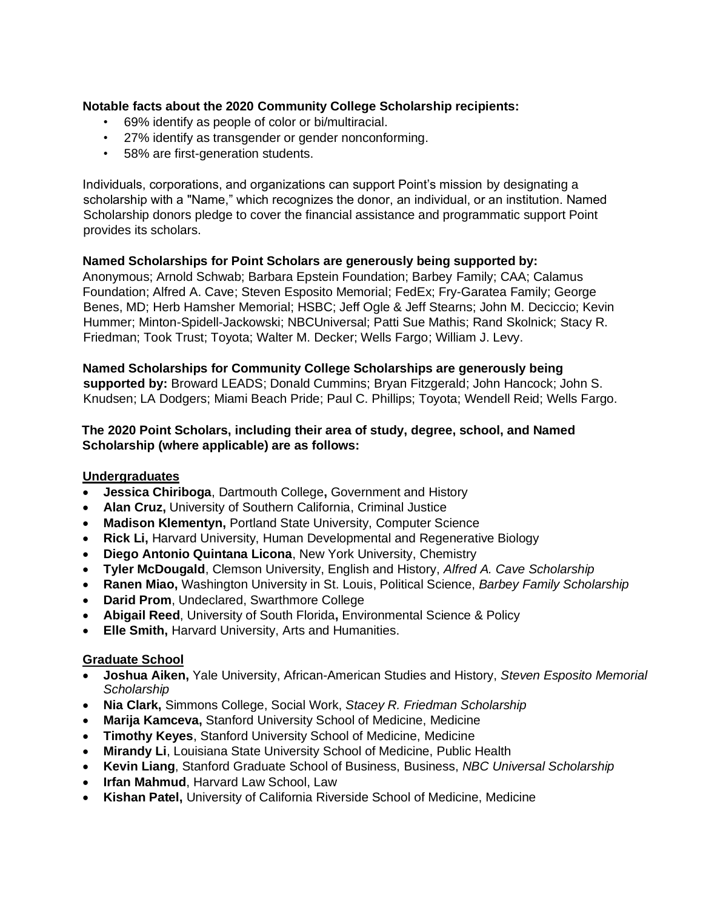## **Notable facts about the 2020 Community College Scholarship recipients:**

- 69% identify as people of color or bi/multiracial.
- 27% identify as transgender or gender nonconforming.
- 58% are first-generation students.

Individuals, corporations, and organizations can support Point's mission by designating a scholarship with a "Name," which recognizes the donor, an individual, or an institution. Named Scholarship donors pledge to cover the financial assistance and programmatic support Point provides its scholars.

### **Named Scholarships for Point Scholars are generously being supported by:**

Anonymous; Arnold Schwab; Barbara Epstein Foundation; Barbey Family; CAA; Calamus Foundation; Alfred A. Cave; Steven Esposito Memorial; FedEx; Fry-Garatea Family; George Benes, MD; Herb Hamsher Memorial; HSBC; Jeff Ogle & Jeff Stearns; John M. Deciccio; Kevin Hummer; Minton-Spidell-Jackowski; NBCUniversal; Patti Sue Mathis; Rand Skolnick; Stacy R. Friedman; Took Trust; Toyota; Walter M. Decker; Wells Fargo; William J. Levy.

### **Named Scholarships for Community College Scholarships are generously being**

**supported by:** Broward LEADS; Donald Cummins; Bryan Fitzgerald; John Hancock; John S. Knudsen; LA Dodgers; Miami Beach Pride; Paul C. Phillips; Toyota; Wendell Reid; Wells Fargo.

### **The 2020 Point Scholars, including their area of study, degree, school, and Named Scholarship (where applicable) are as follows:**

### **Undergraduates**

- **Jessica Chiriboga**, Dartmouth College**,** Government and History
- **Alan Cruz,** University of Southern California, Criminal Justice
- **Madison Klementyn,** Portland State University, Computer Science
- **Rick Li,** Harvard University, Human Developmental and Regenerative Biology
- **Diego Antonio Quintana Licona**, New York University, Chemistry
- **Tyler McDougald**, Clemson University, English and History, *Alfred A. Cave Scholarship*
- **Ranen Miao,** Washington University in St. Louis, Political Science, *Barbey Family Scholarship*
- **Darid Prom**, Undeclared, Swarthmore College
- **Abigail Reed**, University of South Florida**,** Environmental Science & Policy
- **Elle Smith,** Harvard University, Arts and Humanities.

### **Graduate School**

- **Joshua Aiken,** Yale University, African-American Studies and History, *Steven Esposito Memorial Scholarship*
- **Nia Clark,** Simmons College, Social Work, *Stacey R. Friedman Scholarship*
- **Marija Kamceva,** Stanford University School of Medicine, Medicine
- **Timothy Keyes**, Stanford University School of Medicine, Medicine
- **Mirandy Li**, Louisiana State University School of Medicine, Public Health
- **Kevin Liang**, Stanford Graduate School of Business, Business, *NBC Universal Scholarship*
- **Irfan Mahmud**, Harvard Law School, Law
- **Kishan Patel,** University of California Riverside School of Medicine, Medicine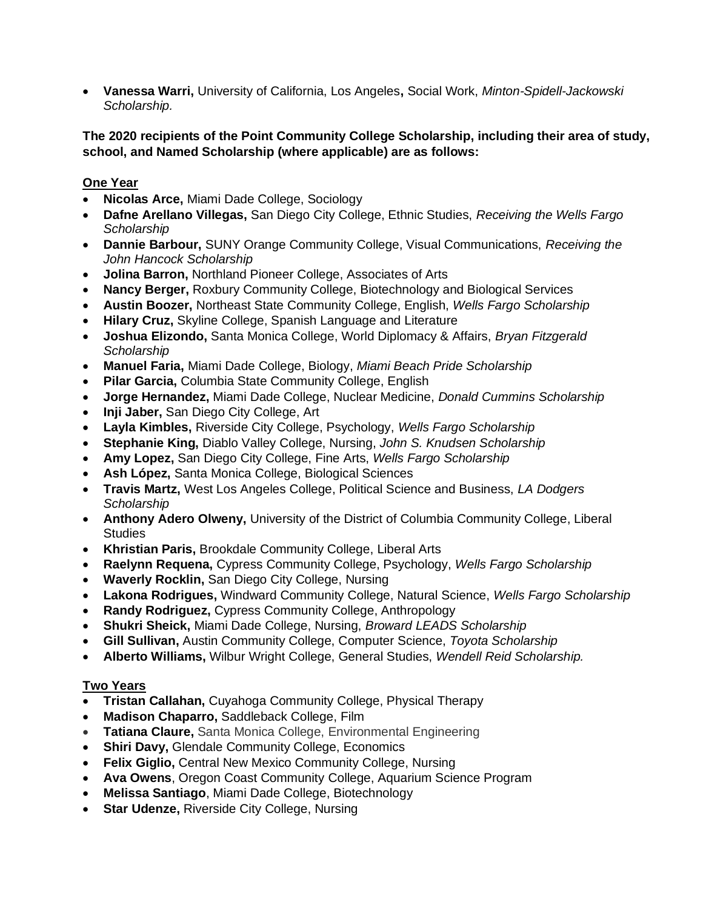• **Vanessa Warri,** University of California, Los Angeles**,** Social Work, *Minton-Spidell-Jackowski Scholarship.*

## **The 2020 recipients of the Point Community College Scholarship, including their area of study, school, and Named Scholarship (where applicable) are as follows:**

# **One Year**

- **Nicolas Arce,** Miami Dade College, Sociology
- **Dafne Arellano Villegas,** San Diego City College, Ethnic Studies, *Receiving the Wells Fargo Scholarship*
- **Dannie Barbour,** SUNY Orange Community College, Visual Communications, *Receiving the John Hancock Scholarship*
- **Jolina Barron,** Northland Pioneer College, Associates of Arts
- **Nancy Berger,** Roxbury Community College, Biotechnology and Biological Services
- **Austin Boozer,** Northeast State Community College, English, *Wells Fargo Scholarship*
- **Hilary Cruz,** Skyline College, Spanish Language and Literature
- **Joshua Elizondo,** Santa Monica College, World Diplomacy & Affairs, *Bryan Fitzgerald Scholarship*
- **Manuel Faria,** Miami Dade College, Biology, *Miami Beach Pride Scholarship*
- **Pilar Garcia,** Columbia State Community College, English
- **Jorge Hernandez,** Miami Dade College, Nuclear Medicine, *Donald Cummins Scholarship*
- **Inji Jaber,** San Diego City College, Art
- **Layla Kimbles,** Riverside City College, Psychology, *Wells Fargo Scholarship*
- **Stephanie King,** Diablo Valley College, Nursing, *John S. Knudsen Scholarship*
- **Amy Lopez,** San Diego City College, Fine Arts, *Wells Fargo Scholarship*
- **Ash López,** Santa Monica College, Biological Sciences
- **Travis Martz,** West Los Angeles College, Political Science and Business, *LA Dodgers Scholarship*
- **Anthony Adero Olweny,** University of the District of Columbia Community College, Liberal **Studies**
- **Khristian Paris,** Brookdale Community College, Liberal Arts
- **Raelynn Requena,** Cypress Community College, Psychology, *Wells Fargo Scholarship*
- **Waverly Rocklin,** San Diego City College, Nursing
- **Lakona Rodrigues,** Windward Community College, Natural Science, *Wells Fargo Scholarship*
- **Randy Rodriguez,** Cypress Community College, Anthropology
- **Shukri Sheick,** Miami Dade College, Nursing, *Broward LEADS Scholarship*
- **Gill Sullivan,** Austin Community College, Computer Science, *Toyota Scholarship*
- **Alberto Williams,** Wilbur Wright College, General Studies, *Wendell Reid Scholarship.*

## **Two Years**

- **Tristan Callahan,** Cuyahoga Community College, Physical Therapy
- **Madison Chaparro,** Saddleback College, Film
- **Tatiana Claure,** Santa Monica College, Environmental Engineering
- **Shiri Davy,** Glendale Community College, Economics
- **Felix Giglio,** Central New Mexico Community College, Nursing
- **Ava Owens**, Oregon Coast Community College, Aquarium Science Program
- **Melissa Santiago**, Miami Dade College, Biotechnology
- **Star Udenze, Riverside City College, Nursing**